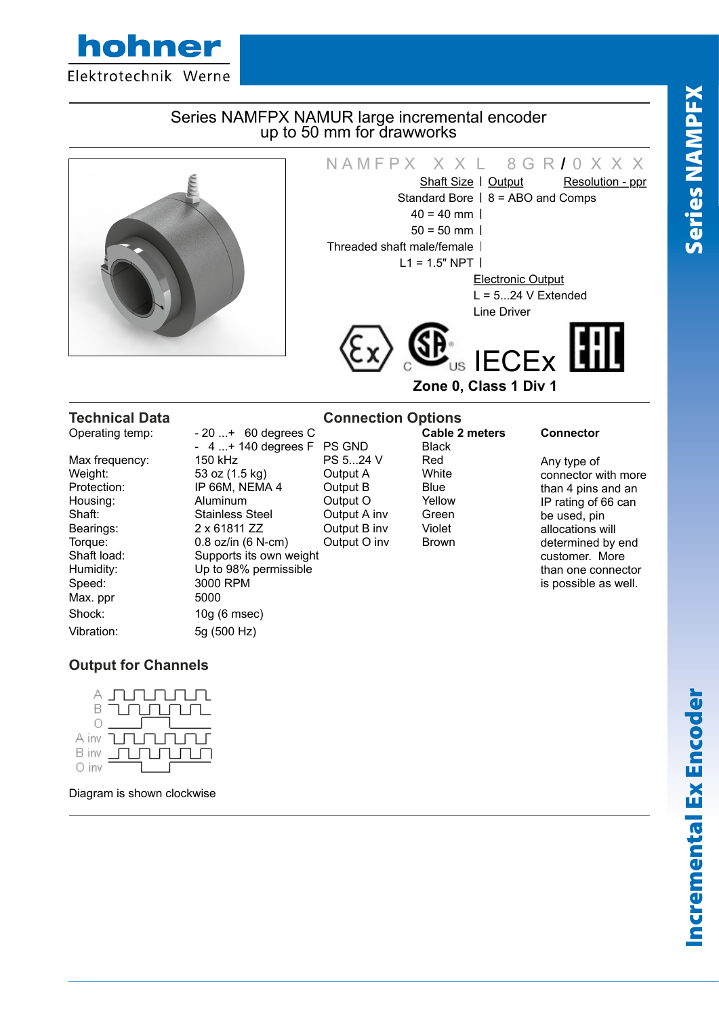

## Series NAMFPX NAMUR large incremental encoder up to 50 mm for drawworks



# NAMFPX  $X X L 8 G R I 0 X X X$ <br>Shaft Size I Output Resolution - ppr Shaft Size | Output Standard Bore | 8 = ABO and Comps

 $40 = 40$  mm |  $50 = 50$  mm  $\vert$ Threaded shaft male/female |  $L1 = 1.5" NPT$ 

Electronic Output  $L = 5...24$  V Extended Line Driver



**Zone 0, Class 1 Div 1**

Speed: 3000 RPM Max. ppr 5000 Shock: 10g (6 msec) Vibration: 5g (500 Hz)

**Cable 2 meters C Cable 2 meters Connector**<br> **Cable 2 meters Connector**<br>
Cable 2 meters Connector<br>
Black 4 ...+ 140 degrees F PS GND<br>150 kHz PS 5...24 V Max frequency: 150 kHz PS 5...24 V Red Weight: 53 oz (1.5 kg) Output A White<br>Protection: IP 66M. NEMA 4 Output B Blue **IP 66M, NEMA 4** Output B Blue Housing: Aluminum Output O Yellow Shaft: Shaft: Stainless Steel Output A inv Green Bearings: 2 x 61811 ZZ Cutput B inv Violet Torque: 0.8 oz/in (6 N-cm) Output O inv Brown Shaft load: Supports its own weight Humidity: Up to 98% permissible

# **Technical Data Connection Options**<br> **Connection Options**<br> **Cable 2 meters**<br> **Cable 2 meters**

Any type of connector with more than 4 pins and an IP rating of 66 can be used, pin allocations will determined by end customer. More than one connector is possible as well.

# **Output for Channels**



Diagram is shown clockwise